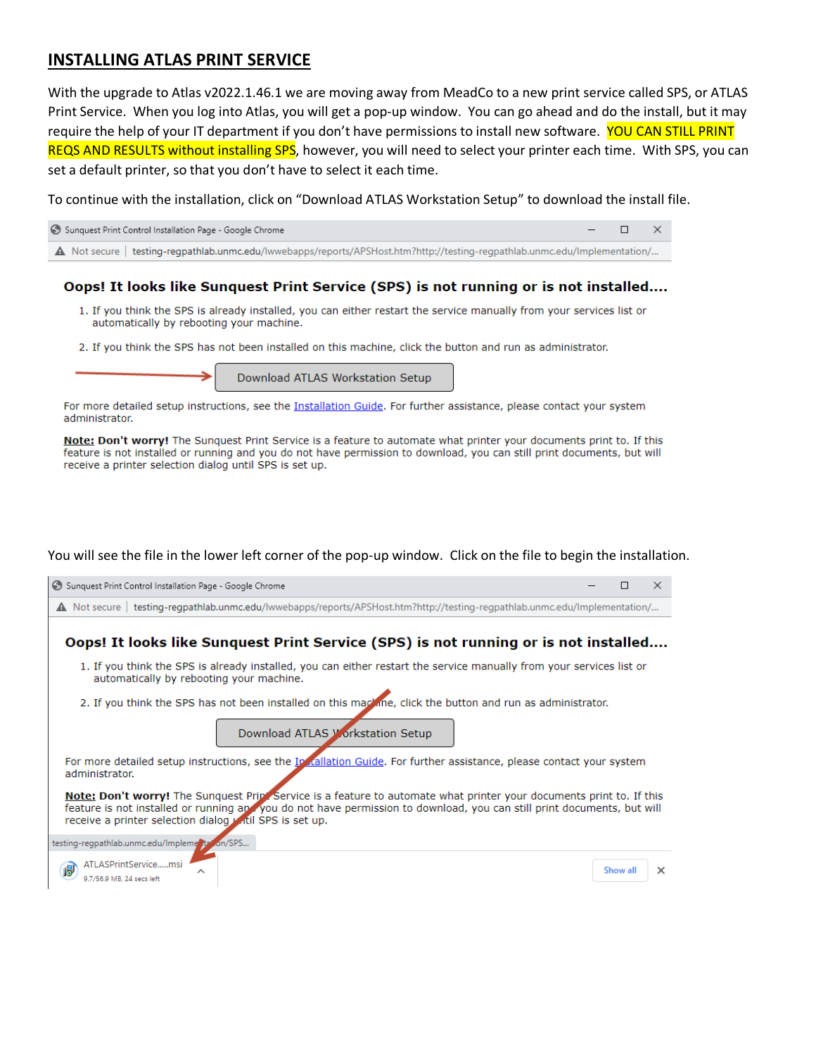## **INSTALLING ATLAS PRINT SERVICE**

With the upgrade to Atlas v2022.1.46.1 we are moving away from MeadCo to a new print service called SPS, or ATLAS Print Service. When you log into Atlas, you will get a pop-up window. You can go ahead and do the install, but it may require the help of your IT department if you don't have permissions to install new software. YOU CAN STILL PRINT REQS AND RESULTS without installing SPS, however, you will need to select your printer each time. With SPS, you can set a default printer, so that you don't have to select it each time.

To continue with the installation, click on "Download ATLAS Workstation Setup" to download the install file.



## Oops! It looks like Sunquest Print Service (SPS) is not running or is not installed....

- 1. If you think the SPS is already installed, you can either restart the service manually from your services list or automatically by rebooting your machine.
- 2. If you think the SPS has not been installed on this machine, click the button and run as administrator.

Download ATLAS Workstation Setup

For more detailed setup instructions, see the Installation Guide. For further assistance, please contact your system administrator.

Note: Don't worry! The Sunguest Print Service is a feature to automate what printer your documents print to. If this feature is not installed or running and you do not have permission to download, you can still print documents, but will receive a printer selection dialog until SPS is set up.

You will see the file in the lower left corner of the pop-up window. Click on the file to begin the installation.

| Sunquest Print Control Installation Page - Google Chrome                                                                                                                                                                                                                                                   | П        | $\times$ |
|------------------------------------------------------------------------------------------------------------------------------------------------------------------------------------------------------------------------------------------------------------------------------------------------------------|----------|----------|
| A Not secure   testing-regpathlab.unmc.edu/lwwebapps/reports/APSHost.htm?http://testing-regpathlab.unmc.edu/lmplementation/                                                                                                                                                                                |          |          |
| Oops! It looks like Sunquest Print Service (SPS) is not running or is not installed                                                                                                                                                                                                                        |          |          |
| 1. If you think the SPS is already installed, you can either restart the service manually from your services list or<br>automatically by rebooting your machine.                                                                                                                                           |          |          |
| 2. If you think the SPS has not been installed on this mackine, click the button and run as administrator.                                                                                                                                                                                                 |          |          |
| Download ATLAS Workstation Setup                                                                                                                                                                                                                                                                           |          |          |
| For more detailed setup instructions, see the Ip dallation Guide. For further assistance, please contact your system<br>administrator.                                                                                                                                                                     |          |          |
| Note: Don't worry! The Sunquest Print Service is a feature to automate what printer your documents print to. If this<br>feature is not installed or running applyou do not have permission to download, you can still print documents, but will<br>receive a printer selection dialog witil SPS is set up. |          |          |
| testing-regpathlab.unmc.edu/Impleme ta on/SPS                                                                                                                                                                                                                                                              |          |          |
| ATLASPrintServicemsi<br>偈<br>9.7/56,9 MB, 24 secs left                                                                                                                                                                                                                                                     | Show all | $\times$ |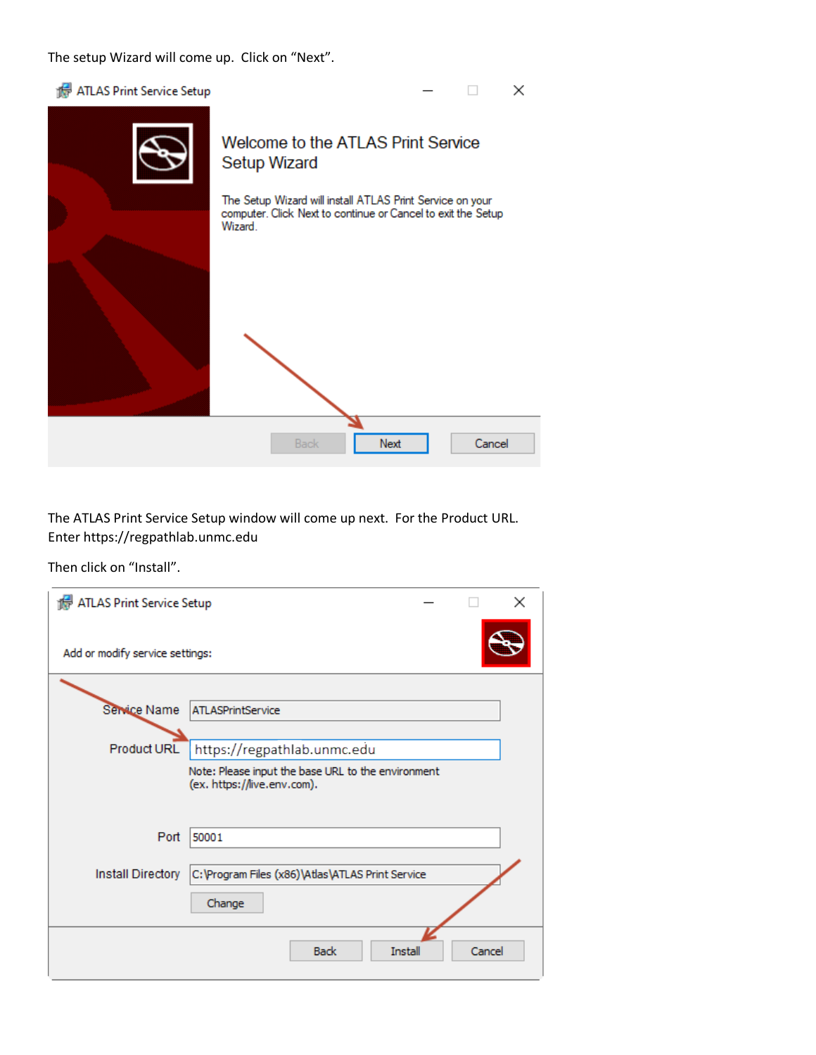The setup Wizard will come up. Click on "Next".

| ATLAS Print Service Setup |                                                                                                                                      |        | × |
|---------------------------|--------------------------------------------------------------------------------------------------------------------------------------|--------|---|
|                           | Welcome to the ATLAS Print Service<br><b>Setup Wizard</b>                                                                            |        |   |
|                           | The Setup Wizard will install ATLAS Print Service on your<br>computer. Click Next to continue or Cancel to exit the Setup<br>Wizard. |        |   |
|                           |                                                                                                                                      |        |   |
|                           | <b>Back</b><br>Next                                                                                                                  | Cancel |   |

The ATLAS Print Service Setup window will come up next. For the Product URL. Enter https://regpathlab.unmc.edu

Then click on "Install".

| ATLAS Print Service Setup       |                                                                                   | $\times$ |
|---------------------------------|-----------------------------------------------------------------------------------|----------|
| Add or modify service settings: |                                                                                   |          |
| Service Name                    | <b>ATLASPrintService</b>                                                          |          |
| <b>Product URL</b>              | https://regpathlab.unmc.edu<br>Note: Please input the base URL to the environment |          |
|                                 | (ex. https://live.env.com).                                                       |          |
| Port                            | 50001                                                                             |          |
| Install Directory               | C: \Program Files (x86)\Atlas\ATLAS Print Service                                 |          |
|                                 | Change                                                                            |          |
|                                 | <b>Back</b><br>Install                                                            | Cancel   |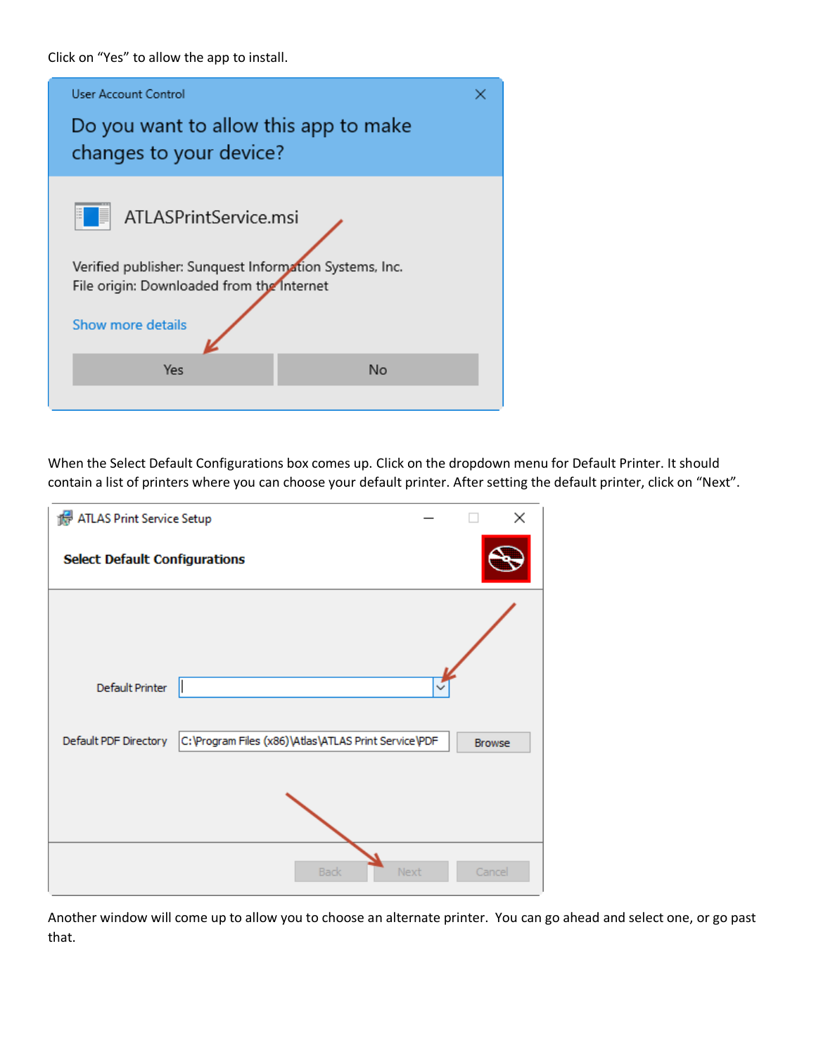Click on "Yes" to allow the app to install.



When the Select Default Configurations box comes up. Click on the dropdown menu for Default Printer. It should contain a list of printers where you can choose your default printer. After setting the default printer, click on "Next".

| ATLAS Print Service Setup            |                                                      |               | × |
|--------------------------------------|------------------------------------------------------|---------------|---|
| <b>Select Default Configurations</b> |                                                      |               |   |
| Default Printer                      |                                                      |               |   |
| Default PDF Directory                | C:\Program Files (x86)\Atlas\ATLAS Print Service\PDF | <b>Browse</b> |   |
|                                      |                                                      |               |   |
|                                      | Next<br><b>Back</b>                                  | Cancel        |   |

Another window will come up to allow you to choose an alternate printer. You can go ahead and select one, or go past that.